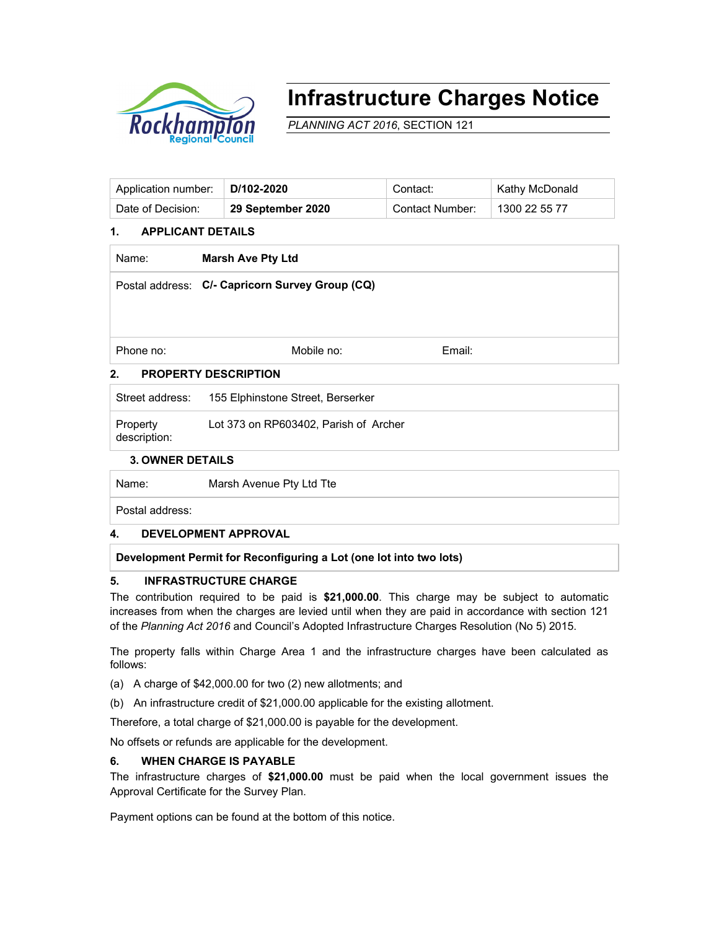

# **Infrastructure Charges Notice**

*PLANNING ACT 2016*, SECTION 121

| Application number: | $\mid$ D/102-2020 | Contact:        | Kathy McDonald |
|---------------------|-------------------|-----------------|----------------|
| Date of Decision:   | 29 September 2020 | Contact Number: | 1300 22 55 77  |

### **1. APPLICANT DETAILS**

| Name:                                           | <b>Marsh Ave Pty Ltd</b> |        |  |  |  |
|-------------------------------------------------|--------------------------|--------|--|--|--|
| Postal address: C/- Capricorn Survey Group (CQ) |                          |        |  |  |  |
|                                                 |                          |        |  |  |  |
|                                                 |                          |        |  |  |  |
| Phone no:                                       | Mobile no:               | Email: |  |  |  |
| 2.<br><b>PROPERTY DESCRIPTION</b>               |                          |        |  |  |  |

| Street address:          | 155 Elphinstone Street, Berserker     |
|--------------------------|---------------------------------------|
| Property<br>description: | Lot 373 on RP603402, Parish of Archer |

#### **3. OWNER DETAILS**

Name: Marsh Avenue Pty Ltd Tte

Postal address:

#### **4. DEVELOPMENT APPROVAL**

**Development Permit for Reconfiguring a Lot (one lot into two lots)** 

#### **5. INFRASTRUCTURE CHARGE**

The contribution required to be paid is **\$21,000.00**. This charge may be subject to automatic increases from when the charges are levied until when they are paid in accordance with section 121 of the *Planning Act 2016* and Council's Adopted Infrastructure Charges Resolution (No 5) 2015.

The property falls within Charge Area 1 and the infrastructure charges have been calculated as follows:

- (a) A charge of \$42,000.00 for two (2) new allotments; and
- (b) An infrastructure credit of \$21,000.00 applicable for the existing allotment.

Therefore, a total charge of \$21,000.00 is payable for the development.

No offsets or refunds are applicable for the development.

#### **6. WHEN CHARGE IS PAYABLE**

The infrastructure charges of **\$21,000.00** must be paid when the local government issues the Approval Certificate for the Survey Plan.

Payment options can be found at the bottom of this notice.